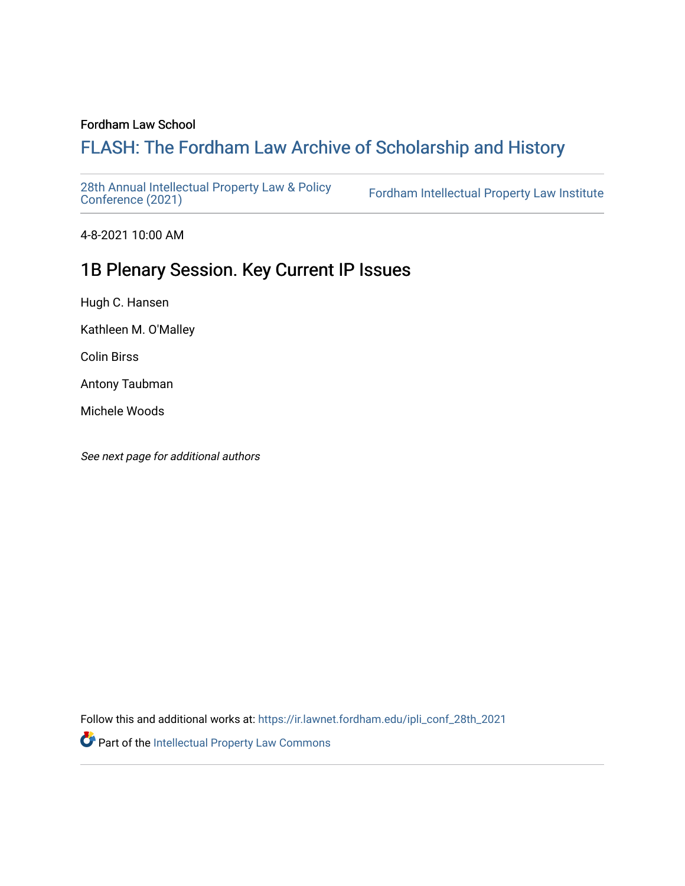#### Fordham Law School

# FLASH: The For[dham Law Archive of Scholarship and Hist](https://ir.lawnet.fordham.edu/)ory

[28th Annual Intellectual Property Law & Policy](https://ir.lawnet.fordham.edu/ipli_conf_28th_2021)<br>Conference (2021)

Fordham Intellectual Property Law Institute

4-8-2021 10:00 AM

# 1B Plenary Session. Key Current IP Issues

Hugh C. Hansen

Kathleen M. O'Malley

Colin Birss

Antony Taubman

Michele Woods

See next page for additional authors

Follow this and additional works at: [https://ir.lawnet.fordham.edu/ipli\\_conf\\_28th\\_2021](https://ir.lawnet.fordham.edu/ipli_conf_28th_2021?utm_source=ir.lawnet.fordham.edu%2Fipli_conf_28th_2021%2F2&utm_medium=PDF&utm_campaign=PDFCoverPages) 

Part of the [Intellectual Property Law Commons](http://network.bepress.com/hgg/discipline/896?utm_source=ir.lawnet.fordham.edu%2Fipli_conf_28th_2021%2F2&utm_medium=PDF&utm_campaign=PDFCoverPages)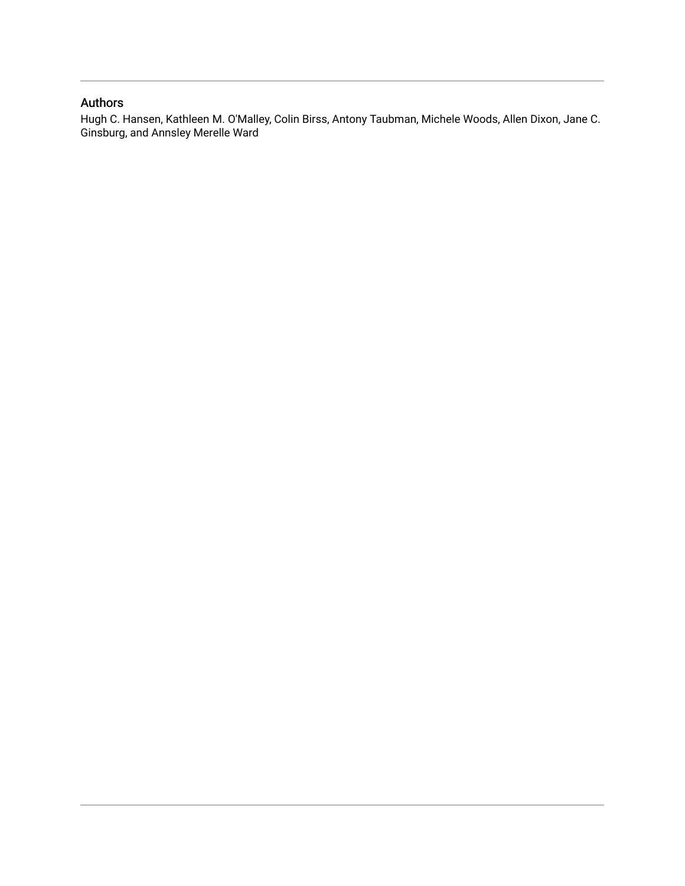### Authors

Hugh C. Hansen, Kathleen M. O'Malley, Colin Birss, Antony Taubman, Michele Woods, Allen Dixon, Jane C. Ginsburg, and Annsley Merelle Ward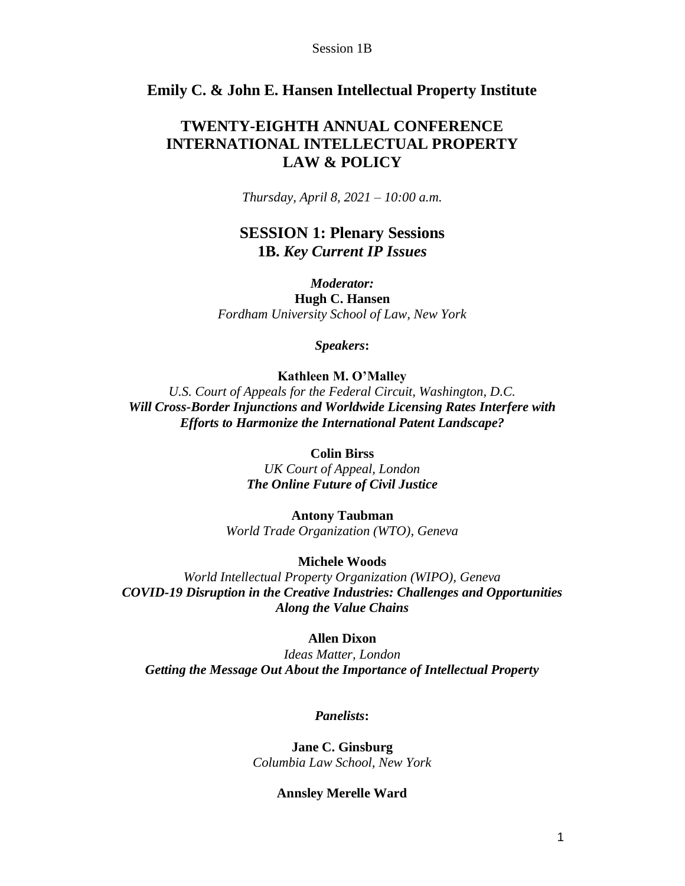### **Emily C. & John E. Hansen Intellectual Property Institute**

## **TWENTY-EIGHTH ANNUAL CONFERENCE INTERNATIONAL INTELLECTUAL PROPERTY LAW & POLICY**

*Thursday, April 8, 2021 – 10:00 a.m.*

## **SESSION 1: Plenary Sessions 1B.** *Key Current IP Issues*

*Moderator:* **Hugh C. Hansen** *Fordham University School of Law, New York*

*Speakers***:**

#### **Kathleen M. O'Malley**

*U.S. Court of Appeals for the Federal Circuit, Washington, D.C. Will Cross-Border Injunctions and Worldwide Licensing Rates Interfere with Efforts to Harmonize the International Patent Landscape?*

#### **Colin Birss**

*UK Court of Appeal, London The Online Future of Civil Justice*

**Antony Taubman** *World Trade Organization (WTO), Geneva*

#### **Michele Woods**

*World Intellectual Property Organization (WIPO), Geneva COVID-19 Disruption in the Creative Industries: Challenges and Opportunities Along the Value Chains*

#### **Allen Dixon**

*Ideas Matter, London Getting the Message Out About the Importance of Intellectual Property*

#### *Panelists***:**

**Jane C. Ginsburg** *Columbia Law School, New York*

#### **Annsley Merelle Ward**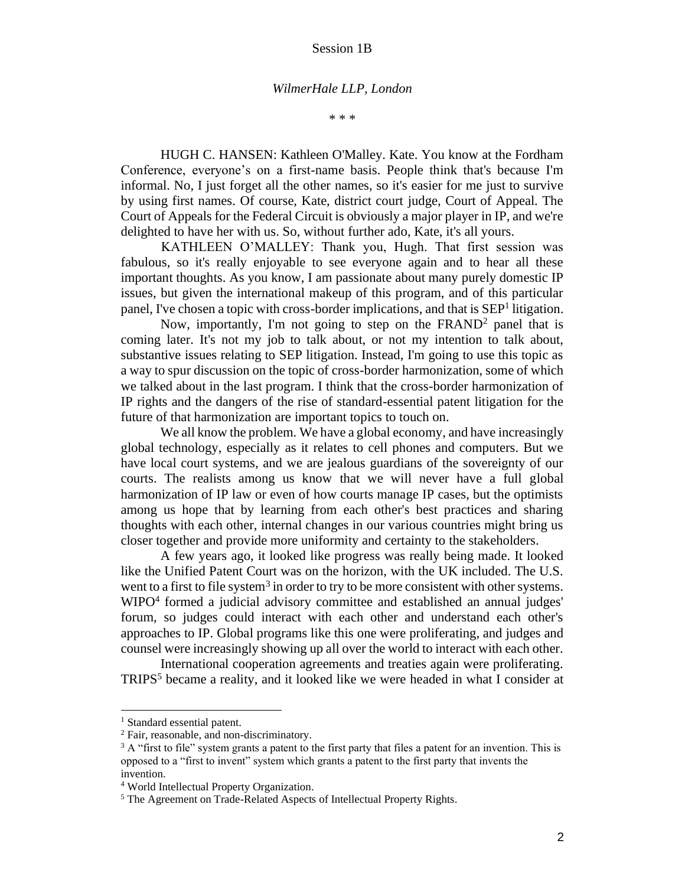#### *WilmerHale LLP, London*

\* \* \*

HUGH C. HANSEN: Kathleen O'Malley. Kate. You know at the Fordham Conference, everyone's on a first-name basis. People think that's because I'm informal. No, I just forget all the other names, so it's easier for me just to survive by using first names. Of course, Kate, district court judge, Court of Appeal. The Court of Appeals for the Federal Circuit is obviously a major player in IP, and we're delighted to have her with us. So, without further ado, Kate, it's all yours.

KATHLEEN O'MALLEY: Thank you, Hugh. That first session was fabulous, so it's really enjoyable to see everyone again and to hear all these important thoughts. As you know, I am passionate about many purely domestic IP issues, but given the international makeup of this program, and of this particular panel, I've chosen a topic with cross-border implications, and that is SEP<sup>1</sup> litigation.

Now, importantly, I'm not going to step on the FRAND<sup>2</sup> panel that is coming later. It's not my job to talk about, or not my intention to talk about, substantive issues relating to SEP litigation. Instead, I'm going to use this topic as a way to spur discussion on the topic of cross-border harmonization, some of which we talked about in the last program. I think that the cross-border harmonization of IP rights and the dangers of the rise of standard-essential patent litigation for the future of that harmonization are important topics to touch on.

We all know the problem. We have a global economy, and have increasingly global technology, especially as it relates to cell phones and computers. But we have local court systems, and we are jealous guardians of the sovereignty of our courts. The realists among us know that we will never have a full global harmonization of IP law or even of how courts manage IP cases, but the optimists among us hope that by learning from each other's best practices and sharing thoughts with each other, internal changes in our various countries might bring us closer together and provide more uniformity and certainty to the stakeholders.

A few years ago, it looked like progress was really being made. It looked like the Unified Patent Court was on the horizon, with the UK included. The U.S. went to a first to file system<sup>3</sup> in order to try to be more consistent with other systems. WIPO<sup>4</sup> formed a judicial advisory committee and established an annual judges' forum, so judges could interact with each other and understand each other's approaches to IP. Global programs like this one were proliferating, and judges and counsel were increasingly showing up all over the world to interact with each other.

International cooperation agreements and treaties again were proliferating. TRIPS<sup>5</sup> became a reality, and it looked like we were headed in what I consider at

<sup>&</sup>lt;sup>1</sup> Standard essential patent.

<sup>2</sup> Fair, reasonable, and non-discriminatory.

 $3$  A "first to file" system grants a patent to the first party that files a patent for an invention. This is opposed to a "first to invent" system which grants a patent to the first party that invents the invention.

<sup>4</sup> World Intellectual Property Organization.

<sup>5</sup> The Agreement on Trade-Related Aspects of Intellectual Property Rights.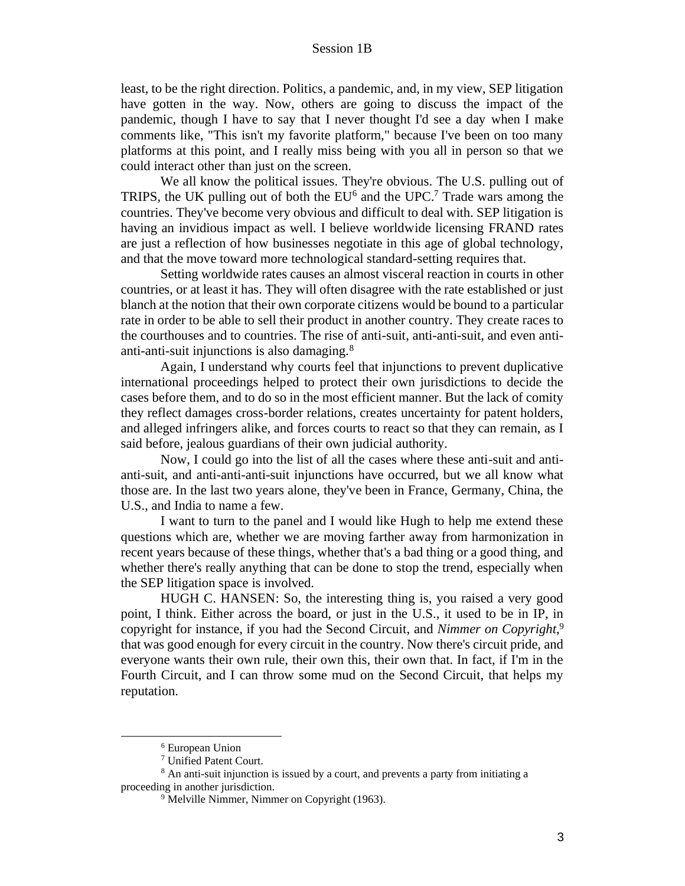least, to be the right direction. Politics, a pandemic, and, in my view, SEP litigation have gotten in the way. Now, others are going to discuss the impact of the pandemic, though I have to say that I never thought I'd see a day when I make comments like, "This isn't my favorite platform," because I've been on too many platforms at this point, and I really miss being with you all in person so that we could interact other than just on the screen.

We all know the political issues. They're obvious. The U.S. pulling out of TRIPS, the UK pulling out of both the  $EU<sup>6</sup>$  and the UPC.<sup>7</sup> Trade wars among the countries. They've become very obvious and difficult to deal with. SEP litigation is having an invidious impact as well. I believe worldwide licensing FRAND rates are just a reflection of how businesses negotiate in this age of global technology, and that the move toward more technological standard-setting requires that.

Setting worldwide rates causes an almost visceral reaction in courts in other countries, or at least it has. They will often disagree with the rate established or just blanch at the notion that their own corporate citizens would be bound to a particular rate in order to be able to sell their product in another country. They create races to the courthouses and to countries. The rise of anti-suit, anti-anti-suit, and even antianti-anti-suit injunctions is also damaging.<sup>8</sup>

Again, I understand why courts feel that injunctions to prevent duplicative international proceedings helped to protect their own jurisdictions to decide the cases before them, and to do so in the most efficient manner. But the lack of comity they reflect damages cross-border relations, creates uncertainty for patent holders, and alleged infringers alike, and forces courts to react so that they can remain, as I said before, jealous guardians of their own judicial authority.

Now, I could go into the list of all the cases where these anti-suit and antianti-suit, and anti-anti-anti-suit injunctions have occurred, but we all know what those are. In the last two years alone, they've been in France, Germany, China, the U.S., and India to name a few.

I want to turn to the panel and I would like Hugh to help me extend these questions which are, whether we are moving farther away from harmonization in recent years because of these things, whether that's a bad thing or a good thing, and whether there's really anything that can be done to stop the trend, especially when the SEP litigation space is involved.

HUGH C. HANSEN: So, the interesting thing is, you raised a very good point, I think. Either across the board, or just in the U.S., it used to be in IP, in copyright for instance, if you had the Second Circuit, and *Nimmer on Copyright*, 9 that was good enough for every circuit in the country. Now there's circuit pride, and everyone wants their own rule, their own this, their own that. In fact, if I'm in the Fourth Circuit, and I can throw some mud on the Second Circuit, that helps my reputation.

<sup>6</sup> European Union

<sup>7</sup> Unified Patent Court.

<sup>8</sup> An anti-suit injunction is issued by a court, and prevents a party from initiating a proceeding in another jurisdiction.

<sup>&</sup>lt;sup>9</sup> Melville Nimmer, Nimmer on Copyright (1963).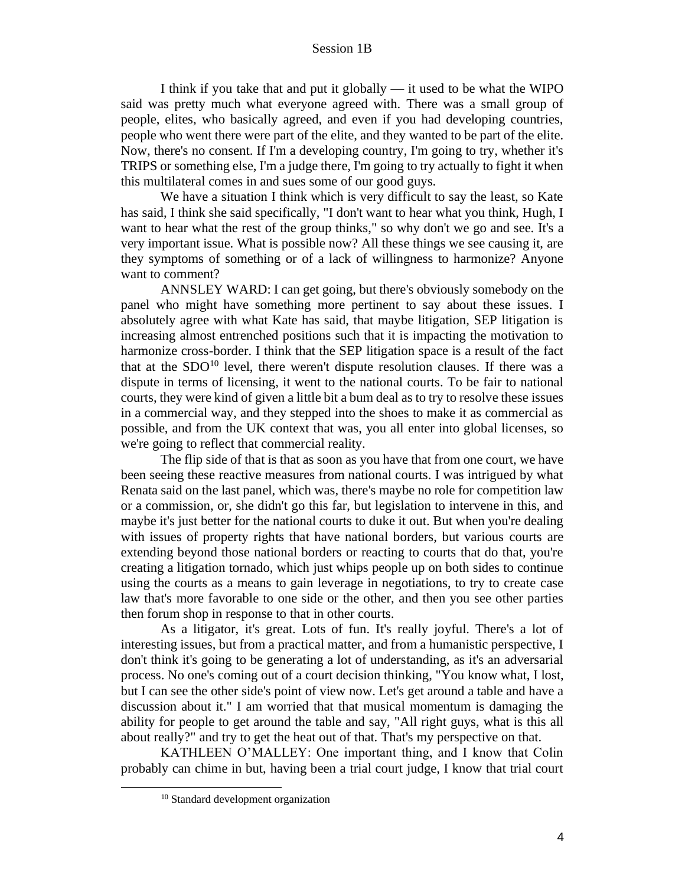I think if you take that and put it globally — it used to be what the WIPO said was pretty much what everyone agreed with. There was a small group of people, elites, who basically agreed, and even if you had developing countries, people who went there were part of the elite, and they wanted to be part of the elite. Now, there's no consent. If I'm a developing country, I'm going to try, whether it's TRIPS or something else, I'm a judge there, I'm going to try actually to fight it when this multilateral comes in and sues some of our good guys.

We have a situation I think which is very difficult to say the least, so Kate has said, I think she said specifically, "I don't want to hear what you think, Hugh, I want to hear what the rest of the group thinks," so why don't we go and see. It's a very important issue. What is possible now? All these things we see causing it, are they symptoms of something or of a lack of willingness to harmonize? Anyone want to comment?

ANNSLEY WARD: I can get going, but there's obviously somebody on the panel who might have something more pertinent to say about these issues. I absolutely agree with what Kate has said, that maybe litigation, SEP litigation is increasing almost entrenched positions such that it is impacting the motivation to harmonize cross-border. I think that the SEP litigation space is a result of the fact that at the  $SDO<sup>10</sup>$  level, there weren't dispute resolution clauses. If there was a dispute in terms of licensing, it went to the national courts. To be fair to national courts, they were kind of given a little bit a bum deal as to try to resolve these issues in a commercial way, and they stepped into the shoes to make it as commercial as possible, and from the UK context that was, you all enter into global licenses, so we're going to reflect that commercial reality.

The flip side of that is that as soon as you have that from one court, we have been seeing these reactive measures from national courts. I was intrigued by what Renata said on the last panel, which was, there's maybe no role for competition law or a commission, or, she didn't go this far, but legislation to intervene in this, and maybe it's just better for the national courts to duke it out. But when you're dealing with issues of property rights that have national borders, but various courts are extending beyond those national borders or reacting to courts that do that, you're creating a litigation tornado, which just whips people up on both sides to continue using the courts as a means to gain leverage in negotiations, to try to create case law that's more favorable to one side or the other, and then you see other parties then forum shop in response to that in other courts.

As a litigator, it's great. Lots of fun. It's really joyful. There's a lot of interesting issues, but from a practical matter, and from a humanistic perspective, I don't think it's going to be generating a lot of understanding, as it's an adversarial process. No one's coming out of a court decision thinking, "You know what, I lost, but I can see the other side's point of view now. Let's get around a table and have a discussion about it." I am worried that that musical momentum is damaging the ability for people to get around the table and say, "All right guys, what is this all about really?" and try to get the heat out of that. That's my perspective on that.

KATHLEEN O'MALLEY: One important thing, and I know that Colin probably can chime in but, having been a trial court judge, I know that trial court

<sup>10</sup> Standard development organization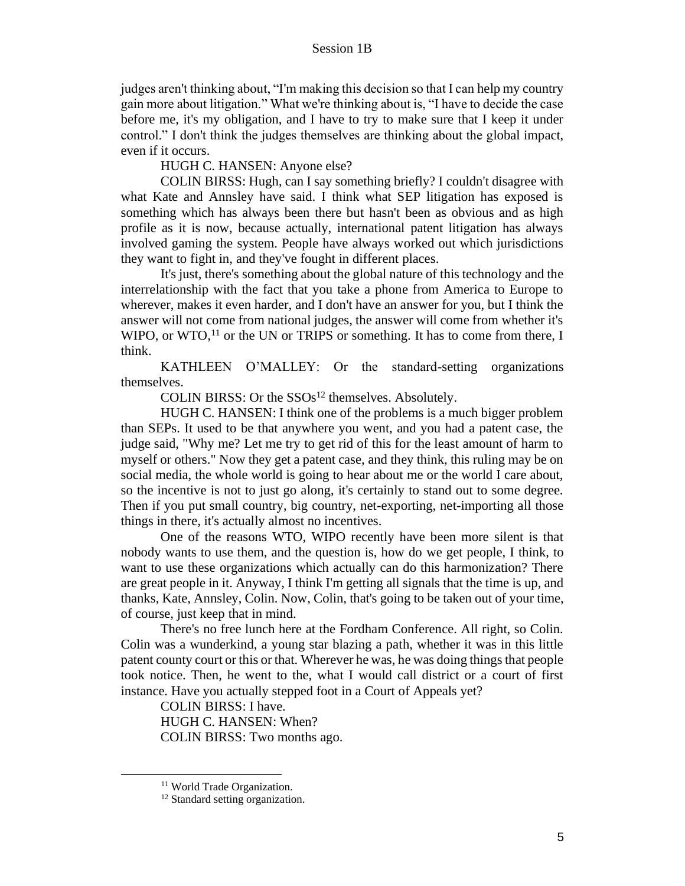judges aren't thinking about, "I'm making this decision so that I can help my country gain more about litigation." What we're thinking about is, "I have to decide the case before me, it's my obligation, and I have to try to make sure that I keep it under control." I don't think the judges themselves are thinking about the global impact, even if it occurs.

HUGH C. HANSEN: Anyone else?

COLIN BIRSS: Hugh, can I say something briefly? I couldn't disagree with what Kate and Annsley have said. I think what SEP litigation has exposed is something which has always been there but hasn't been as obvious and as high profile as it is now, because actually, international patent litigation has always involved gaming the system. People have always worked out which jurisdictions they want to fight in, and they've fought in different places.

It's just, there's something about the global nature of this technology and the interrelationship with the fact that you take a phone from America to Europe to wherever, makes it even harder, and I don't have an answer for you, but I think the answer will not come from national judges, the answer will come from whether it's WIPO, or WTO,  $^{11}$  or the UN or TRIPS or something. It has to come from there, I think.

KATHLEEN O'MALLEY: Or the standard-setting organizations themselves.

COLIN BIRSS: Or the  $SSOs<sup>12</sup>$  themselves. Absolutely.

HUGH C. HANSEN: I think one of the problems is a much bigger problem than SEPs. It used to be that anywhere you went, and you had a patent case, the judge said, "Why me? Let me try to get rid of this for the least amount of harm to myself or others." Now they get a patent case, and they think, this ruling may be on social media, the whole world is going to hear about me or the world I care about, so the incentive is not to just go along, it's certainly to stand out to some degree. Then if you put small country, big country, net-exporting, net-importing all those things in there, it's actually almost no incentives.

One of the reasons WTO, WIPO recently have been more silent is that nobody wants to use them, and the question is, how do we get people, I think, to want to use these organizations which actually can do this harmonization? There are great people in it. Anyway, I think I'm getting all signals that the time is up, and thanks, Kate, Annsley, Colin. Now, Colin, that's going to be taken out of your time, of course, just keep that in mind.

There's no free lunch here at the Fordham Conference. All right, so Colin. Colin was a wunderkind, a young star blazing a path, whether it was in this little patent county court or this or that. Wherever he was, he was doing things that people took notice. Then, he went to the, what I would call district or a court of first instance. Have you actually stepped foot in a Court of Appeals yet?

COLIN BIRSS: I have.

HUGH C. HANSEN: When? COLIN BIRSS: Two months ago.

<sup>&</sup>lt;sup>11</sup> World Trade Organization.

<sup>&</sup>lt;sup>12</sup> Standard setting organization.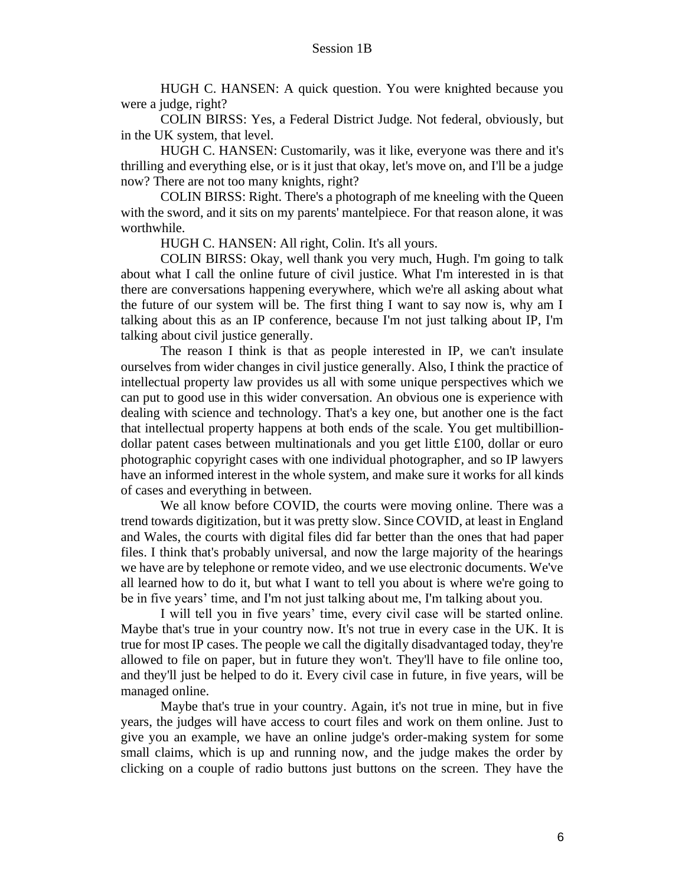HUGH C. HANSEN: A quick question. You were knighted because you were a judge, right?

COLIN BIRSS: Yes, a Federal District Judge. Not federal, obviously, but in the UK system, that level.

HUGH C. HANSEN: Customarily, was it like, everyone was there and it's thrilling and everything else, or is it just that okay, let's move on, and I'll be a judge now? There are not too many knights, right?

COLIN BIRSS: Right. There's a photograph of me kneeling with the Queen with the sword, and it sits on my parents' mantelpiece. For that reason alone, it was worthwhile.

HUGH C. HANSEN: All right, Colin. It's all yours.

COLIN BIRSS: Okay, well thank you very much, Hugh. I'm going to talk about what I call the online future of civil justice. What I'm interested in is that there are conversations happening everywhere, which we're all asking about what the future of our system will be. The first thing I want to say now is, why am I talking about this as an IP conference, because I'm not just talking about IP, I'm talking about civil justice generally.

The reason I think is that as people interested in IP, we can't insulate ourselves from wider changes in civil justice generally. Also, I think the practice of intellectual property law provides us all with some unique perspectives which we can put to good use in this wider conversation. An obvious one is experience with dealing with science and technology. That's a key one, but another one is the fact that intellectual property happens at both ends of the scale. You get multibilliondollar patent cases between multinationals and you get little  $\pounds$ 100, dollar or euro photographic copyright cases with one individual photographer, and so IP lawyers have an informed interest in the whole system, and make sure it works for all kinds of cases and everything in between.

We all know before COVID, the courts were moving online. There was a trend towards digitization, but it was pretty slow. Since COVID, at least in England and Wales, the courts with digital files did far better than the ones that had paper files. I think that's probably universal, and now the large majority of the hearings we have are by telephone or remote video, and we use electronic documents. We've all learned how to do it, but what I want to tell you about is where we're going to be in five years' time, and I'm not just talking about me, I'm talking about you.

I will tell you in five years' time, every civil case will be started online. Maybe that's true in your country now. It's not true in every case in the UK. It is true for most IP cases. The people we call the digitally disadvantaged today, they're allowed to file on paper, but in future they won't. They'll have to file online too, and they'll just be helped to do it. Every civil case in future, in five years, will be managed online.

Maybe that's true in your country. Again, it's not true in mine, but in five years, the judges will have access to court files and work on them online. Just to give you an example, we have an online judge's order-making system for some small claims, which is up and running now, and the judge makes the order by clicking on a couple of radio buttons just buttons on the screen. They have the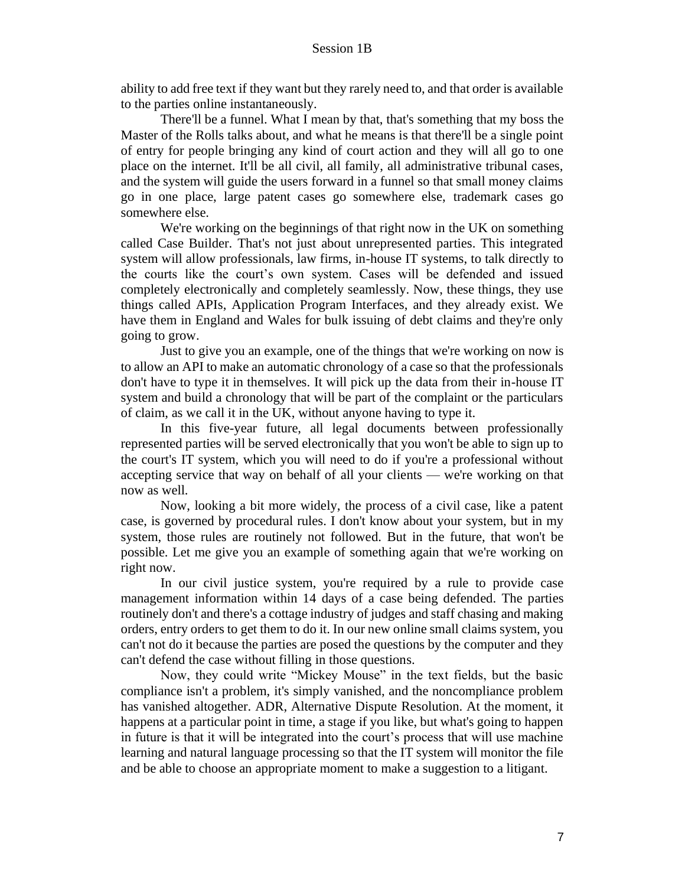ability to add free text if they want but they rarely need to, and that order is available to the parties online instantaneously.

There'll be a funnel. What I mean by that, that's something that my boss the Master of the Rolls talks about, and what he means is that there'll be a single point of entry for people bringing any kind of court action and they will all go to one place on the internet. It'll be all civil, all family, all administrative tribunal cases, and the system will guide the users forward in a funnel so that small money claims go in one place, large patent cases go somewhere else, trademark cases go somewhere else.

We're working on the beginnings of that right now in the UK on something called Case Builder. That's not just about unrepresented parties. This integrated system will allow professionals, law firms, in-house IT systems, to talk directly to the courts like the court's own system. Cases will be defended and issued completely electronically and completely seamlessly. Now, these things, they use things called APIs, Application Program Interfaces, and they already exist. We have them in England and Wales for bulk issuing of debt claims and they're only going to grow.

Just to give you an example, one of the things that we're working on now is to allow an API to make an automatic chronology of a case so that the professionals don't have to type it in themselves. It will pick up the data from their in-house IT system and build a chronology that will be part of the complaint or the particulars of claim, as we call it in the UK, without anyone having to type it.

In this five-year future, all legal documents between professionally represented parties will be served electronically that you won't be able to sign up to the court's IT system, which you will need to do if you're a professional without accepting service that way on behalf of all your clients — we're working on that now as well.

Now, looking a bit more widely, the process of a civil case, like a patent case, is governed by procedural rules. I don't know about your system, but in my system, those rules are routinely not followed. But in the future, that won't be possible. Let me give you an example of something again that we're working on right now.

In our civil justice system, you're required by a rule to provide case management information within 14 days of a case being defended. The parties routinely don't and there's a cottage industry of judges and staff chasing and making orders, entry orders to get them to do it. In our new online small claims system, you can't not do it because the parties are posed the questions by the computer and they can't defend the case without filling in those questions.

Now, they could write "Mickey Mouse" in the text fields, but the basic compliance isn't a problem, it's simply vanished, and the noncompliance problem has vanished altogether. ADR, Alternative Dispute Resolution. At the moment, it happens at a particular point in time, a stage if you like, but what's going to happen in future is that it will be integrated into the court's process that will use machine learning and natural language processing so that the IT system will monitor the file and be able to choose an appropriate moment to make a suggestion to a litigant.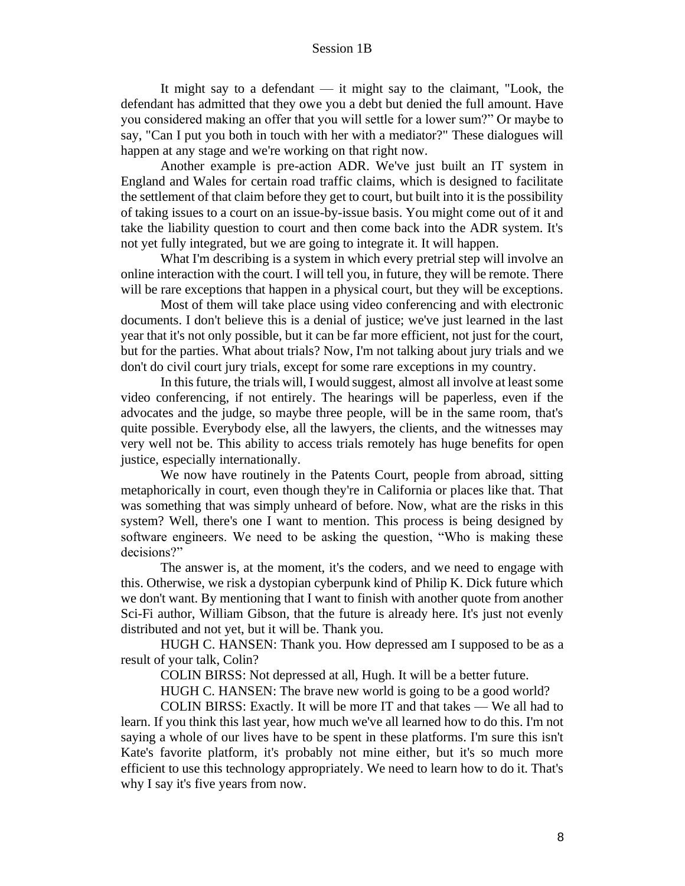It might say to a defendant  $-$  it might say to the claimant, "Look, the defendant has admitted that they owe you a debt but denied the full amount. Have you considered making an offer that you will settle for a lower sum?" Or maybe to say, "Can I put you both in touch with her with a mediator?" These dialogues will happen at any stage and we're working on that right now.

Another example is pre-action ADR. We've just built an IT system in England and Wales for certain road traffic claims, which is designed to facilitate the settlement of that claim before they get to court, but built into it is the possibility of taking issues to a court on an issue-by-issue basis. You might come out of it and take the liability question to court and then come back into the ADR system. It's not yet fully integrated, but we are going to integrate it. It will happen.

What I'm describing is a system in which every pretrial step will involve an online interaction with the court. I will tell you, in future, they will be remote. There will be rare exceptions that happen in a physical court, but they will be exceptions.

Most of them will take place using video conferencing and with electronic documents. I don't believe this is a denial of justice; we've just learned in the last year that it's not only possible, but it can be far more efficient, not just for the court, but for the parties. What about trials? Now, I'm not talking about jury trials and we don't do civil court jury trials, except for some rare exceptions in my country.

In this future, the trials will, I would suggest, almost all involve at least some video conferencing, if not entirely. The hearings will be paperless, even if the advocates and the judge, so maybe three people, will be in the same room, that's quite possible. Everybody else, all the lawyers, the clients, and the witnesses may very well not be. This ability to access trials remotely has huge benefits for open justice, especially internationally.

We now have routinely in the Patents Court, people from abroad, sitting metaphorically in court, even though they're in California or places like that. That was something that was simply unheard of before. Now, what are the risks in this system? Well, there's one I want to mention. This process is being designed by software engineers. We need to be asking the question, "Who is making these decisions?"

The answer is, at the moment, it's the coders, and we need to engage with this. Otherwise, we risk a dystopian cyberpunk kind of Philip K. Dick future which we don't want. By mentioning that I want to finish with another quote from another Sci-Fi author, William Gibson, that the future is already here. It's just not evenly distributed and not yet, but it will be. Thank you.

HUGH C. HANSEN: Thank you. How depressed am I supposed to be as a result of your talk, Colin?

COLIN BIRSS: Not depressed at all, Hugh. It will be a better future.

HUGH C. HANSEN: The brave new world is going to be a good world?

COLIN BIRSS: Exactly. It will be more IT and that takes — We all had to learn. If you think this last year, how much we've all learned how to do this. I'm not saying a whole of our lives have to be spent in these platforms. I'm sure this isn't Kate's favorite platform, it's probably not mine either, but it's so much more efficient to use this technology appropriately. We need to learn how to do it. That's why I say it's five years from now.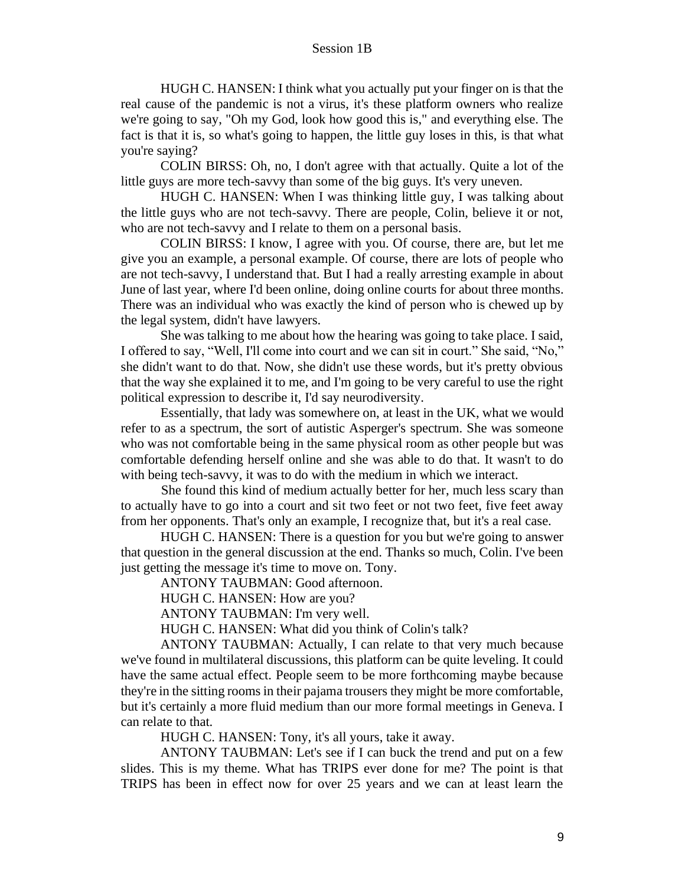HUGH C. HANSEN: I think what you actually put your finger on is that the real cause of the pandemic is not a virus, it's these platform owners who realize we're going to say, "Oh my God, look how good this is," and everything else. The fact is that it is, so what's going to happen, the little guy loses in this, is that what you're saying?

COLIN BIRSS: Oh, no, I don't agree with that actually. Quite a lot of the little guys are more tech-savvy than some of the big guys. It's very uneven.

HUGH C. HANSEN: When I was thinking little guy, I was talking about the little guys who are not tech-savvy. There are people, Colin, believe it or not, who are not tech-savvy and I relate to them on a personal basis.

COLIN BIRSS: I know, I agree with you. Of course, there are, but let me give you an example, a personal example. Of course, there are lots of people who are not tech-savvy, I understand that. But I had a really arresting example in about June of last year, where I'd been online, doing online courts for about three months. There was an individual who was exactly the kind of person who is chewed up by the legal system, didn't have lawyers.

She was talking to me about how the hearing was going to take place. I said, I offered to say, "Well, I'll come into court and we can sit in court." She said, "No," she didn't want to do that. Now, she didn't use these words, but it's pretty obvious that the way she explained it to me, and I'm going to be very careful to use the right political expression to describe it, I'd say neurodiversity.

Essentially, that lady was somewhere on, at least in the UK, what we would refer to as a spectrum, the sort of autistic Asperger's spectrum. She was someone who was not comfortable being in the same physical room as other people but was comfortable defending herself online and she was able to do that. It wasn't to do with being tech-savvy, it was to do with the medium in which we interact.

She found this kind of medium actually better for her, much less scary than to actually have to go into a court and sit two feet or not two feet, five feet away from her opponents. That's only an example, I recognize that, but it's a real case.

HUGH C. HANSEN: There is a question for you but we're going to answer that question in the general discussion at the end. Thanks so much, Colin. I've been just getting the message it's time to move on. Tony.

ANTONY TAUBMAN: Good afternoon.

HUGH C. HANSEN: How are you?

ANTONY TAUBMAN: I'm very well.

HUGH C. HANSEN: What did you think of Colin's talk?

ANTONY TAUBMAN: Actually, I can relate to that very much because we've found in multilateral discussions, this platform can be quite leveling. It could have the same actual effect. People seem to be more forthcoming maybe because they're in the sitting rooms in their pajama trousers they might be more comfortable, but it's certainly a more fluid medium than our more formal meetings in Geneva. I can relate to that.

HUGH C. HANSEN: Tony, it's all yours, take it away.

ANTONY TAUBMAN: Let's see if I can buck the trend and put on a few slides. This is my theme. What has TRIPS ever done for me? The point is that TRIPS has been in effect now for over 25 years and we can at least learn the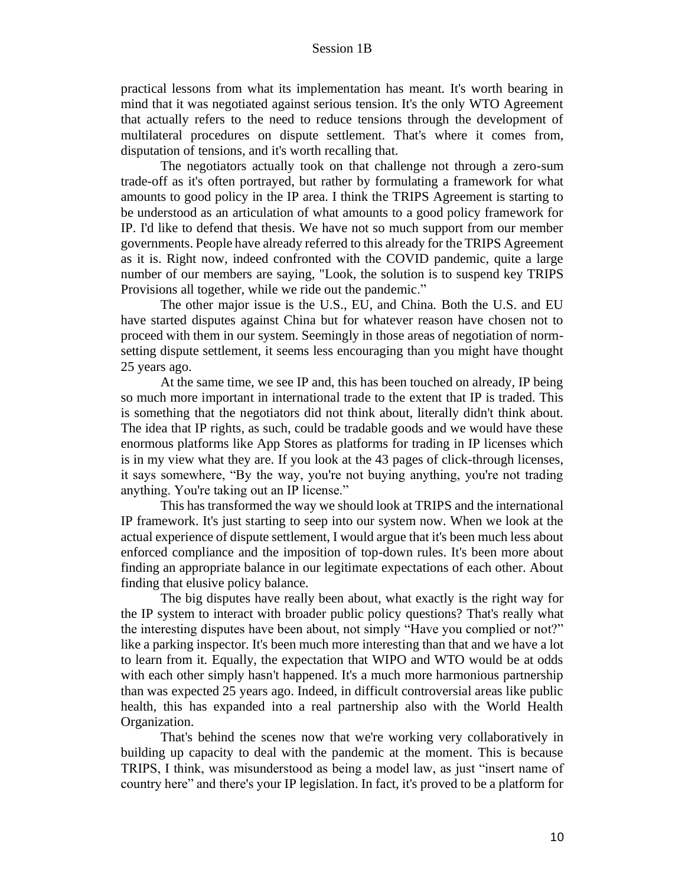practical lessons from what its implementation has meant. It's worth bearing in mind that it was negotiated against serious tension. It's the only WTO Agreement that actually refers to the need to reduce tensions through the development of multilateral procedures on dispute settlement. That's where it comes from, disputation of tensions, and it's worth recalling that.

The negotiators actually took on that challenge not through a zero-sum trade-off as it's often portrayed, but rather by formulating a framework for what amounts to good policy in the IP area. I think the TRIPS Agreement is starting to be understood as an articulation of what amounts to a good policy framework for IP. I'd like to defend that thesis. We have not so much support from our member governments. People have already referred to this already for the TRIPS Agreement as it is. Right now, indeed confronted with the COVID pandemic, quite a large number of our members are saying, "Look, the solution is to suspend key TRIPS Provisions all together, while we ride out the pandemic."

The other major issue is the U.S., EU, and China. Both the U.S. and EU have started disputes against China but for whatever reason have chosen not to proceed with them in our system. Seemingly in those areas of negotiation of normsetting dispute settlement, it seems less encouraging than you might have thought 25 years ago.

At the same time, we see IP and, this has been touched on already, IP being so much more important in international trade to the extent that IP is traded. This is something that the negotiators did not think about, literally didn't think about. The idea that IP rights, as such, could be tradable goods and we would have these enormous platforms like App Stores as platforms for trading in IP licenses which is in my view what they are. If you look at the 43 pages of click-through licenses, it says somewhere, "By the way, you're not buying anything, you're not trading anything. You're taking out an IP license."

This has transformed the way we should look at TRIPS and the international IP framework. It's just starting to seep into our system now. When we look at the actual experience of dispute settlement, I would argue that it's been much less about enforced compliance and the imposition of top-down rules. It's been more about finding an appropriate balance in our legitimate expectations of each other. About finding that elusive policy balance.

The big disputes have really been about, what exactly is the right way for the IP system to interact with broader public policy questions? That's really what the interesting disputes have been about, not simply "Have you complied or not?" like a parking inspector. It's been much more interesting than that and we have a lot to learn from it. Equally, the expectation that WIPO and WTO would be at odds with each other simply hasn't happened. It's a much more harmonious partnership than was expected 25 years ago. Indeed, in difficult controversial areas like public health, this has expanded into a real partnership also with the World Health Organization.

That's behind the scenes now that we're working very collaboratively in building up capacity to deal with the pandemic at the moment. This is because TRIPS, I think, was misunderstood as being a model law, as just "insert name of country here" and there's your IP legislation. In fact, it's proved to be a platform for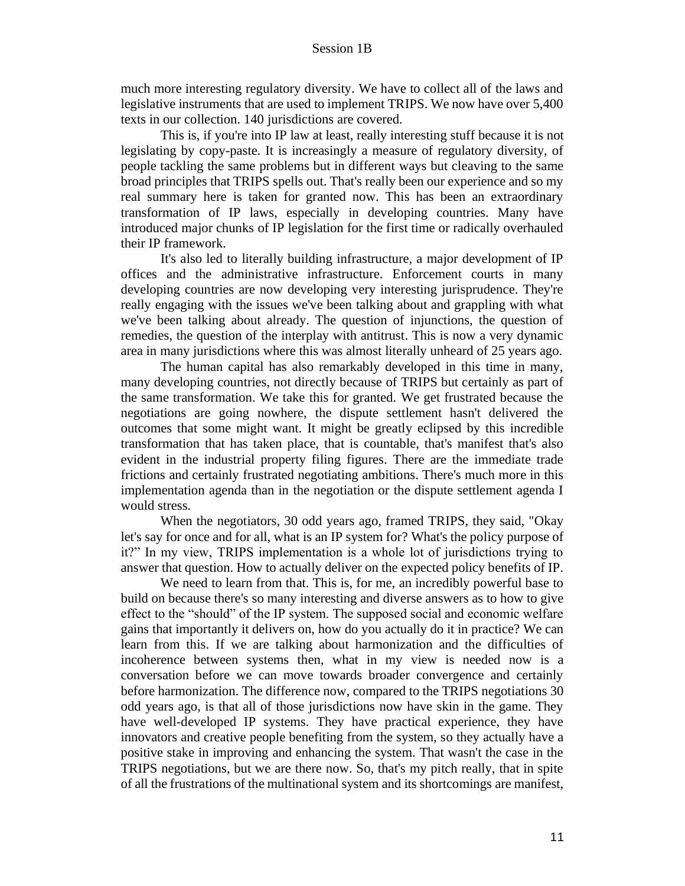much more interesting regulatory diversity. We have to collect all of the laws and legislative instruments that are used to implement TRIPS. We now have over 5,400 texts in our collection. 140 jurisdictions are covered.

This is, if you're into IP law at least, really interesting stuff because it is not legislating by copy-paste. It is increasingly a measure of regulatory diversity, of people tackling the same problems but in different ways but cleaving to the same broad principles that TRIPS spells out. That's really been our experience and so my real summary here is taken for granted now. This has been an extraordinary transformation of IP laws, especially in developing countries. Many have introduced major chunks of IP legislation for the first time or radically overhauled their IP framework.

It's also led to literally building infrastructure, a major development of IP offices and the administrative infrastructure. Enforcement courts in many developing countries are now developing very interesting jurisprudence. They're really engaging with the issues we've been talking about and grappling with what we've been talking about already. The question of injunctions, the question of remedies, the question of the interplay with antitrust. This is now a very dynamic area in many jurisdictions where this was almost literally unheard of 25 years ago.

The human capital has also remarkably developed in this time in many, many developing countries, not directly because of TRIPS but certainly as part of the same transformation. We take this for granted. We get frustrated because the negotiations are going nowhere, the dispute settlement hasn't delivered the outcomes that some might want. It might be greatly eclipsed by this incredible transformation that has taken place, that is countable, that's manifest that's also evident in the industrial property filing figures. There are the immediate trade frictions and certainly frustrated negotiating ambitions. There's much more in this implementation agenda than in the negotiation or the dispute settlement agenda I would stress.

When the negotiators, 30 odd years ago, framed TRIPS, they said, "Okay let's say for once and for all, what is an IP system for? What's the policy purpose of it?" In my view, TRIPS implementation is a whole lot of jurisdictions trying to answer that question. How to actually deliver on the expected policy benefits of IP.

We need to learn from that. This is, for me, an incredibly powerful base to build on because there's so many interesting and diverse answers as to how to give effect to the "should" of the IP system. The supposed social and economic welfare gains that importantly it delivers on, how do you actually do it in practice? We can learn from this. If we are talking about harmonization and the difficulties of incoherence between systems then, what in my view is needed now is a conversation before we can move towards broader convergence and certainly before harmonization. The difference now, compared to the TRIPS negotiations 30 odd years ago, is that all of those jurisdictions now have skin in the game. They have well-developed IP systems. They have practical experience, they have innovators and creative people benefiting from the system, so they actually have a positive stake in improving and enhancing the system. That wasn't the case in the TRIPS negotiations, but we are there now. So, that's my pitch really, that in spite of all the frustrations of the multinational system and its shortcomings are manifest,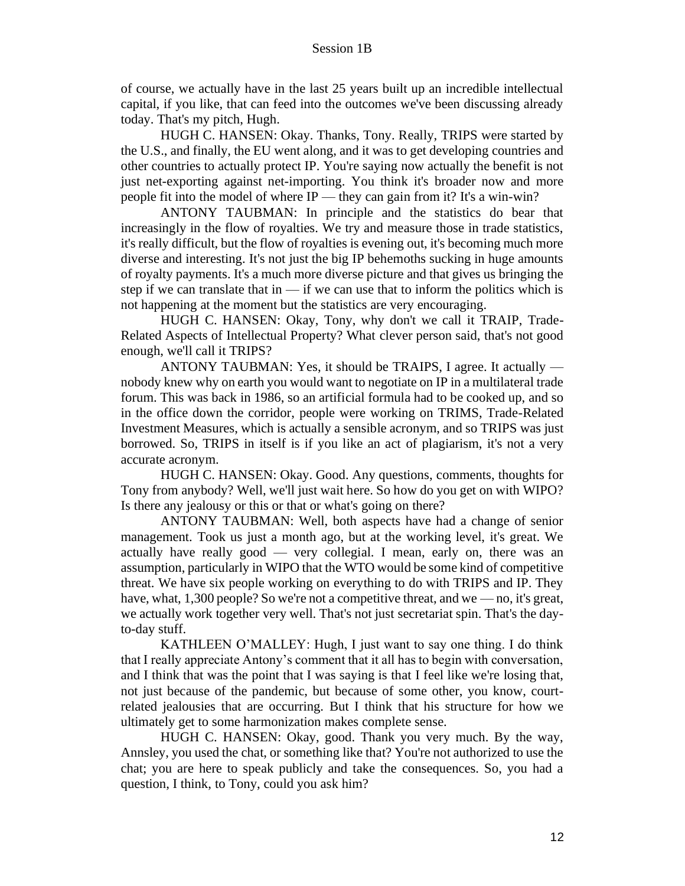of course, we actually have in the last 25 years built up an incredible intellectual capital, if you like, that can feed into the outcomes we've been discussing already today. That's my pitch, Hugh.

HUGH C. HANSEN: Okay. Thanks, Tony. Really, TRIPS were started by the U.S., and finally, the EU went along, and it was to get developing countries and other countries to actually protect IP. You're saying now actually the benefit is not just net-exporting against net-importing. You think it's broader now and more people fit into the model of where IP — they can gain from it? It's a win-win?

ANTONY TAUBMAN: In principle and the statistics do bear that increasingly in the flow of royalties. We try and measure those in trade statistics, it's really difficult, but the flow of royalties is evening out, it's becoming much more diverse and interesting. It's not just the big IP behemoths sucking in huge amounts of royalty payments. It's a much more diverse picture and that gives us bringing the step if we can translate that in  $\frac{d}{dx}$  if we can use that to inform the politics which is not happening at the moment but the statistics are very encouraging.

HUGH C. HANSEN: Okay, Tony, why don't we call it TRAIP, Trade-Related Aspects of Intellectual Property? What clever person said, that's not good enough, we'll call it TRIPS?

ANTONY TAUBMAN: Yes, it should be TRAIPS, I agree. It actually nobody knew why on earth you would want to negotiate on IP in a multilateral trade forum. This was back in 1986, so an artificial formula had to be cooked up, and so in the office down the corridor, people were working on TRIMS, Trade-Related Investment Measures, which is actually a sensible acronym, and so TRIPS was just borrowed. So, TRIPS in itself is if you like an act of plagiarism, it's not a very accurate acronym.

HUGH C. HANSEN: Okay. Good. Any questions, comments, thoughts for Tony from anybody? Well, we'll just wait here. So how do you get on with WIPO? Is there any jealousy or this or that or what's going on there?

ANTONY TAUBMAN: Well, both aspects have had a change of senior management. Took us just a month ago, but at the working level, it's great. We actually have really good — very collegial. I mean, early on, there was an assumption, particularly in WIPO that the WTO would be some kind of competitive threat. We have six people working on everything to do with TRIPS and IP. They have, what, 1,300 people? So we're not a competitive threat, and we — no, it's great, we actually work together very well. That's not just secretariat spin. That's the dayto-day stuff.

KATHLEEN O'MALLEY: Hugh, I just want to say one thing. I do think that I really appreciate Antony's comment that it all has to begin with conversation, and I think that was the point that I was saying is that I feel like we're losing that, not just because of the pandemic, but because of some other, you know, courtrelated jealousies that are occurring. But I think that his structure for how we ultimately get to some harmonization makes complete sense.

HUGH C. HANSEN: Okay, good. Thank you very much. By the way, Annsley, you used the chat, or something like that? You're not authorized to use the chat; you are here to speak publicly and take the consequences. So, you had a question, I think, to Tony, could you ask him?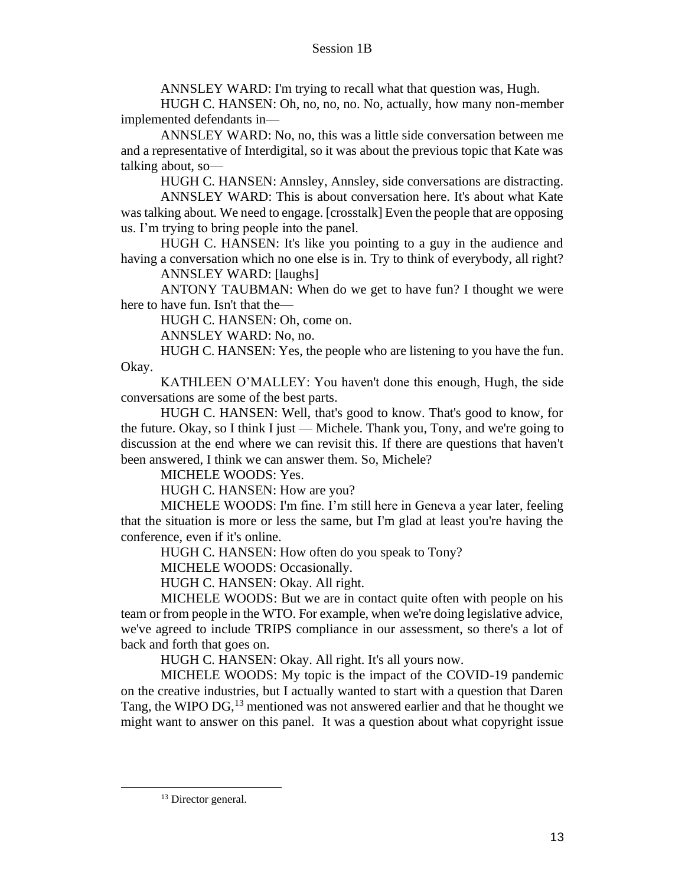ANNSLEY WARD: I'm trying to recall what that question was, Hugh.

HUGH C. HANSEN: Oh, no, no, no. No, actually, how many non-member implemented defendants in—

ANNSLEY WARD: No, no, this was a little side conversation between me and a representative of Interdigital, so it was about the previous topic that Kate was talking about, so—

HUGH C. HANSEN: Annsley, Annsley, side conversations are distracting.

ANNSLEY WARD: This is about conversation here. It's about what Kate was talking about. We need to engage. [crosstalk] Even the people that are opposing us. I'm trying to bring people into the panel.

HUGH C. HANSEN: It's like you pointing to a guy in the audience and having a conversation which no one else is in. Try to think of everybody, all right?

ANNSLEY WARD: [laughs]

ANTONY TAUBMAN: When do we get to have fun? I thought we were here to have fun. Isn't that the—

HUGH C. HANSEN: Oh, come on.

ANNSLEY WARD: No, no.

HUGH C. HANSEN: Yes, the people who are listening to you have the fun. Okay.

KATHLEEN O'MALLEY: You haven't done this enough, Hugh, the side conversations are some of the best parts.

HUGH C. HANSEN: Well, that's good to know. That's good to know, for the future. Okay, so I think I just — Michele. Thank you, Tony, and we're going to discussion at the end where we can revisit this. If there are questions that haven't been answered, I think we can answer them. So, Michele?

MICHELE WOODS: Yes.

HUGH C. HANSEN: How are you?

MICHELE WOODS: I'm fine. I'm still here in Geneva a year later, feeling that the situation is more or less the same, but I'm glad at least you're having the conference, even if it's online.

HUGH C. HANSEN: How often do you speak to Tony?

MICHELE WOODS: Occasionally.

HUGH C. HANSEN: Okay. All right.

MICHELE WOODS: But we are in contact quite often with people on his team or from people in the WTO. For example, when we're doing legislative advice, we've agreed to include TRIPS compliance in our assessment, so there's a lot of back and forth that goes on.

HUGH C. HANSEN: Okay. All right. It's all yours now.

MICHELE WOODS: My topic is the impact of the COVID-19 pandemic on the creative industries, but I actually wanted to start with a question that Daren Tang, the WIPO DG,  $^{13}$  mentioned was not answered earlier and that he thought we might want to answer on this panel. It was a question about what copyright issue

<sup>&</sup>lt;sup>13</sup> Director general.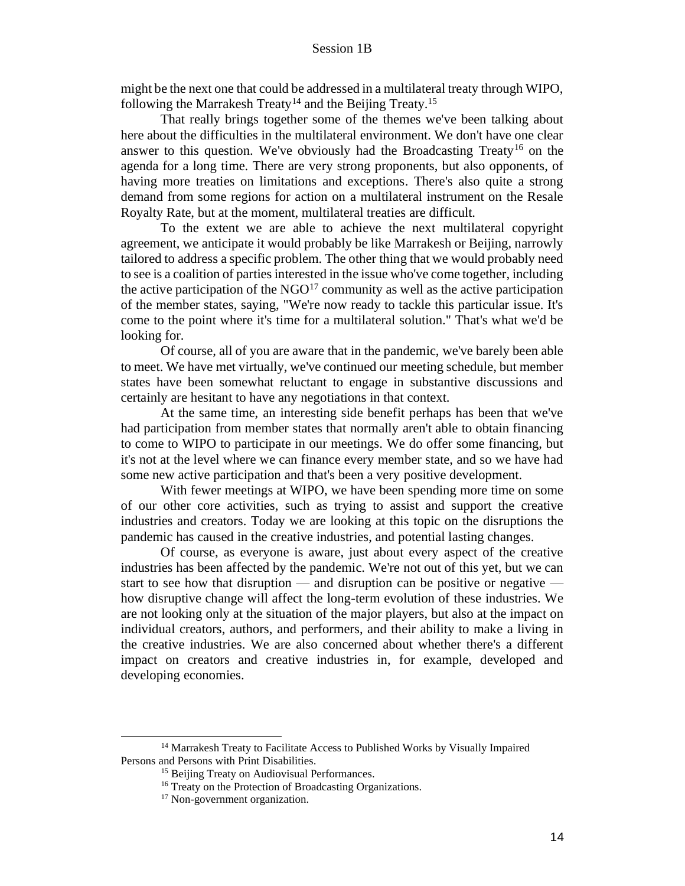might be the next one that could be addressed in a multilateral treaty through WIPO, following the Marrakesh Treaty<sup>14</sup> and the Beijing Treaty.<sup>15</sup>

That really brings together some of the themes we've been talking about here about the difficulties in the multilateral environment. We don't have one clear answer to this question. We've obviously had the Broadcasting Treaty<sup>16</sup> on the agenda for a long time. There are very strong proponents, but also opponents, of having more treaties on limitations and exceptions. There's also quite a strong demand from some regions for action on a multilateral instrument on the Resale Royalty Rate, but at the moment, multilateral treaties are difficult.

To the extent we are able to achieve the next multilateral copyright agreement, we anticipate it would probably be like Marrakesh or Beijing, narrowly tailored to address a specific problem. The other thing that we would probably need to see is a coalition of parties interested in the issue who've come together, including the active participation of the  $NGO<sup>17</sup>$  community as well as the active participation of the member states, saying, "We're now ready to tackle this particular issue. It's come to the point where it's time for a multilateral solution." That's what we'd be looking for.

Of course, all of you are aware that in the pandemic, we've barely been able to meet. We have met virtually, we've continued our meeting schedule, but member states have been somewhat reluctant to engage in substantive discussions and certainly are hesitant to have any negotiations in that context.

At the same time, an interesting side benefit perhaps has been that we've had participation from member states that normally aren't able to obtain financing to come to WIPO to participate in our meetings. We do offer some financing, but it's not at the level where we can finance every member state, and so we have had some new active participation and that's been a very positive development.

With fewer meetings at WIPO, we have been spending more time on some of our other core activities, such as trying to assist and support the creative industries and creators. Today we are looking at this topic on the disruptions the pandemic has caused in the creative industries, and potential lasting changes.

Of course, as everyone is aware, just about every aspect of the creative industries has been affected by the pandemic. We're not out of this yet, but we can start to see how that disruption — and disruption can be positive or negative how disruptive change will affect the long-term evolution of these industries. We are not looking only at the situation of the major players, but also at the impact on individual creators, authors, and performers, and their ability to make a living in the creative industries. We are also concerned about whether there's a different impact on creators and creative industries in, for example, developed and developing economies.

<sup>&</sup>lt;sup>14</sup> Marrakesh Treaty to Facilitate Access to Published Works by Visually Impaired Persons and Persons with Print Disabilities.

<sup>&</sup>lt;sup>15</sup> Beijing Treaty on Audiovisual Performances.

<sup>16</sup> Treaty on the Protection of Broadcasting Organizations.

<sup>&</sup>lt;sup>17</sup> Non-government organization.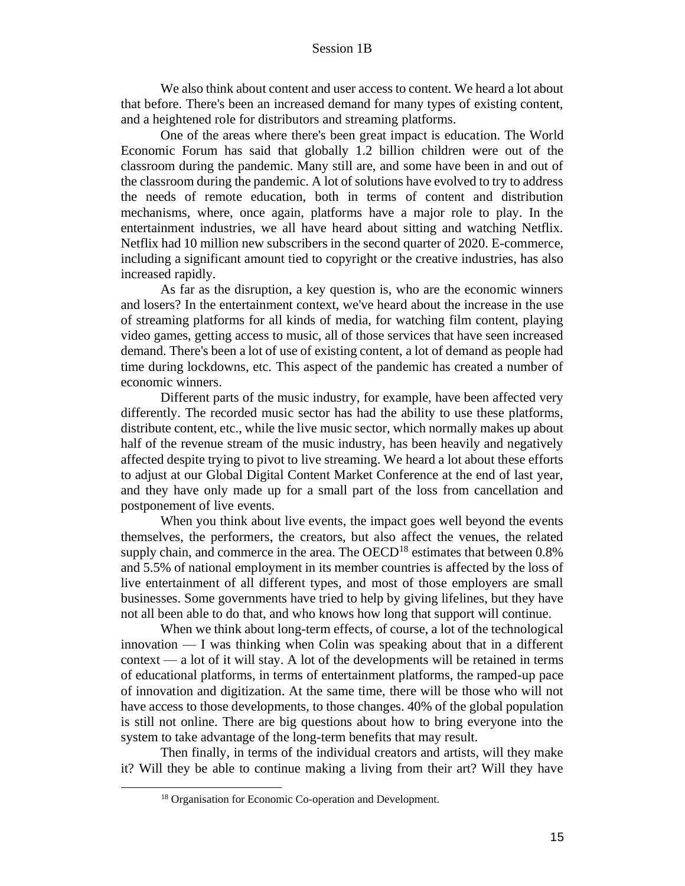We also think about content and user access to content. We heard a lot about that before. There's been an increased demand for many types of existing content, and a heightened role for distributors and streaming platforms.

One of the areas where there's been great impact is education. The World Economic Forum has said that globally 1.2 billion children were out of the classroom during the pandemic. Many still are, and some have been in and out of the classroom during the pandemic. A lot of solutions have evolved to try to address the needs of remote education, both in terms of content and distribution mechanisms, where, once again, platforms have a major role to play. In the entertainment industries, we all have heard about sitting and watching Netflix. Netflix had 10 million new subscribers in the second quarter of 2020. E-commerce, including a significant amount tied to copyright or the creative industries, has also increased rapidly.

As far as the disruption, a key question is, who are the economic winners and losers? In the entertainment context, we've heard about the increase in the use of streaming platforms for all kinds of media, for watching film content, playing video games, getting access to music, all of those services that have seen increased demand. There's been a lot of use of existing content, a lot of demand as people had time during lockdowns, etc. This aspect of the pandemic has created a number of economic winners.

Different parts of the music industry, for example, have been affected very differently. The recorded music sector has had the ability to use these platforms, distribute content, etc., while the live music sector, which normally makes up about half of the revenue stream of the music industry, has been heavily and negatively affected despite trying to pivot to live streaming. We heard a lot about these efforts to adjust at our Global Digital Content Market Conference at the end of last year, and they have only made up for a small part of the loss from cancellation and postponement of live events.

When you think about live events, the impact goes well beyond the events themselves, the performers, the creators, but also affect the venues, the related supply chain, and commerce in the area. The  $OECD^{18}$  estimates that between 0.8% and 5.5% of national employment in its member countries is affected by the loss of live entertainment of all different types, and most of those employers are small businesses. Some governments have tried to help by giving lifelines, but they have not all been able to do that, and who knows how long that support will continue.

When we think about long-term effects, of course, a lot of the technological innovation — I was thinking when Colin was speaking about that in a different context — a lot of it will stay. A lot of the developments will be retained in terms of educational platforms, in terms of entertainment platforms, the ramped-up pace of innovation and digitization. At the same time, there will be those who will not have access to those developments, to those changes. 40% of the global population is still not online. There are big questions about how to bring everyone into the system to take advantage of the long-term benefits that may result.

Then finally, in terms of the individual creators and artists, will they make it? Will they be able to continue making a living from their art? Will they have

<sup>18</sup> Organisation for Economic Co-operation and Development.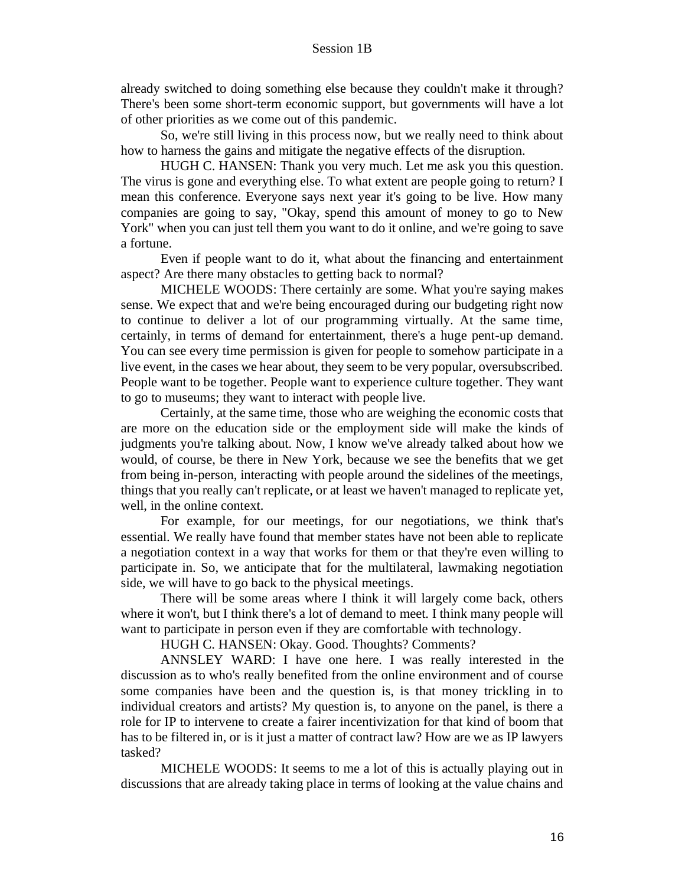already switched to doing something else because they couldn't make it through? There's been some short-term economic support, but governments will have a lot of other priorities as we come out of this pandemic.

So, we're still living in this process now, but we really need to think about how to harness the gains and mitigate the negative effects of the disruption.

HUGH C. HANSEN: Thank you very much. Let me ask you this question. The virus is gone and everything else. To what extent are people going to return? I mean this conference. Everyone says next year it's going to be live. How many companies are going to say, "Okay, spend this amount of money to go to New York" when you can just tell them you want to do it online, and we're going to save a fortune.

Even if people want to do it, what about the financing and entertainment aspect? Are there many obstacles to getting back to normal?

MICHELE WOODS: There certainly are some. What you're saying makes sense. We expect that and we're being encouraged during our budgeting right now to continue to deliver a lot of our programming virtually. At the same time, certainly, in terms of demand for entertainment, there's a huge pent-up demand. You can see every time permission is given for people to somehow participate in a live event, in the cases we hear about, they seem to be very popular, oversubscribed. People want to be together. People want to experience culture together. They want to go to museums; they want to interact with people live.

Certainly, at the same time, those who are weighing the economic costs that are more on the education side or the employment side will make the kinds of judgments you're talking about. Now, I know we've already talked about how we would, of course, be there in New York, because we see the benefits that we get from being in-person, interacting with people around the sidelines of the meetings, things that you really can't replicate, or at least we haven't managed to replicate yet, well, in the online context.

For example, for our meetings, for our negotiations, we think that's essential. We really have found that member states have not been able to replicate a negotiation context in a way that works for them or that they're even willing to participate in. So, we anticipate that for the multilateral, lawmaking negotiation side, we will have to go back to the physical meetings.

There will be some areas where I think it will largely come back, others where it won't, but I think there's a lot of demand to meet. I think many people will want to participate in person even if they are comfortable with technology.

HUGH C. HANSEN: Okay. Good. Thoughts? Comments?

ANNSLEY WARD: I have one here. I was really interested in the discussion as to who's really benefited from the online environment and of course some companies have been and the question is, is that money trickling in to individual creators and artists? My question is, to anyone on the panel, is there a role for IP to intervene to create a fairer incentivization for that kind of boom that has to be filtered in, or is it just a matter of contract law? How are we as IP lawyers tasked?

MICHELE WOODS: It seems to me a lot of this is actually playing out in discussions that are already taking place in terms of looking at the value chains and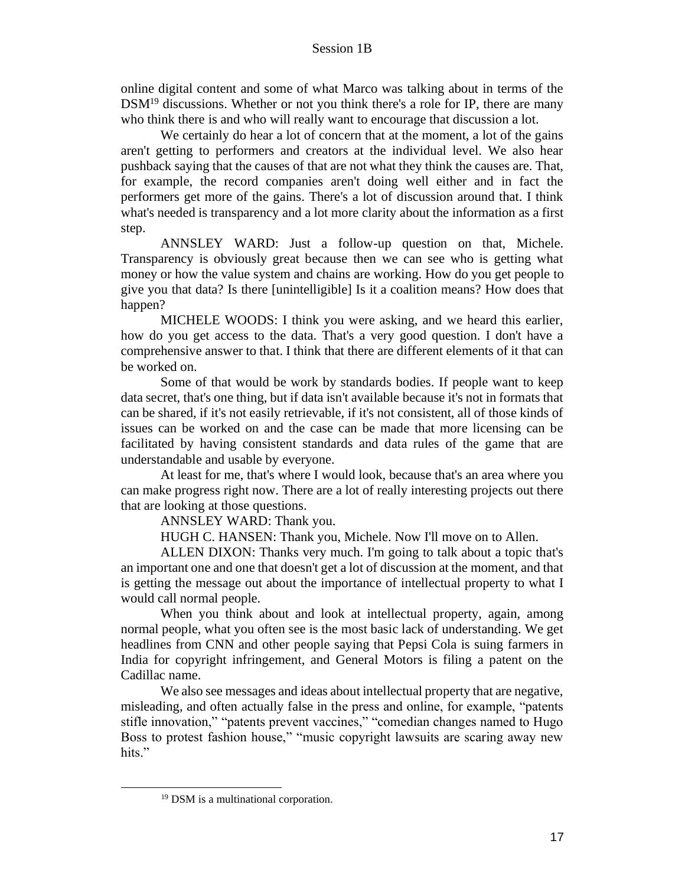online digital content and some of what Marco was talking about in terms of the  $DSM<sup>19</sup>$  discussions. Whether or not you think there's a role for IP, there are many who think there is and who will really want to encourage that discussion a lot.

We certainly do hear a lot of concern that at the moment, a lot of the gains aren't getting to performers and creators at the individual level. We also hear pushback saying that the causes of that are not what they think the causes are. That, for example, the record companies aren't doing well either and in fact the performers get more of the gains. There's a lot of discussion around that. I think what's needed is transparency and a lot more clarity about the information as a first step.

ANNSLEY WARD: Just a follow-up question on that, Michele. Transparency is obviously great because then we can see who is getting what money or how the value system and chains are working. How do you get people to give you that data? Is there [unintelligible] Is it a coalition means? How does that happen?

MICHELE WOODS: I think you were asking, and we heard this earlier, how do you get access to the data. That's a very good question. I don't have a comprehensive answer to that. I think that there are different elements of it that can be worked on.

Some of that would be work by standards bodies. If people want to keep data secret, that's one thing, but if data isn't available because it's not in formats that can be shared, if it's not easily retrievable, if it's not consistent, all of those kinds of issues can be worked on and the case can be made that more licensing can be facilitated by having consistent standards and data rules of the game that are understandable and usable by everyone.

At least for me, that's where I would look, because that's an area where you can make progress right now. There are a lot of really interesting projects out there that are looking at those questions.

ANNSLEY WARD: Thank you.

HUGH C. HANSEN: Thank you, Michele. Now I'll move on to Allen.

ALLEN DIXON: Thanks very much. I'm going to talk about a topic that's an important one and one that doesn't get a lot of discussion at the moment, and that is getting the message out about the importance of intellectual property to what I would call normal people.

When you think about and look at intellectual property, again, among normal people, what you often see is the most basic lack of understanding. We get headlines from CNN and other people saying that Pepsi Cola is suing farmers in India for copyright infringement, and General Motors is filing a patent on the Cadillac name.

We also see messages and ideas about intellectual property that are negative, misleading, and often actually false in the press and online, for example, "patents stifle innovation," "patents prevent vaccines," "comedian changes named to Hugo Boss to protest fashion house," "music copyright lawsuits are scaring away new hits."

<sup>&</sup>lt;sup>19</sup> DSM is a multinational corporation.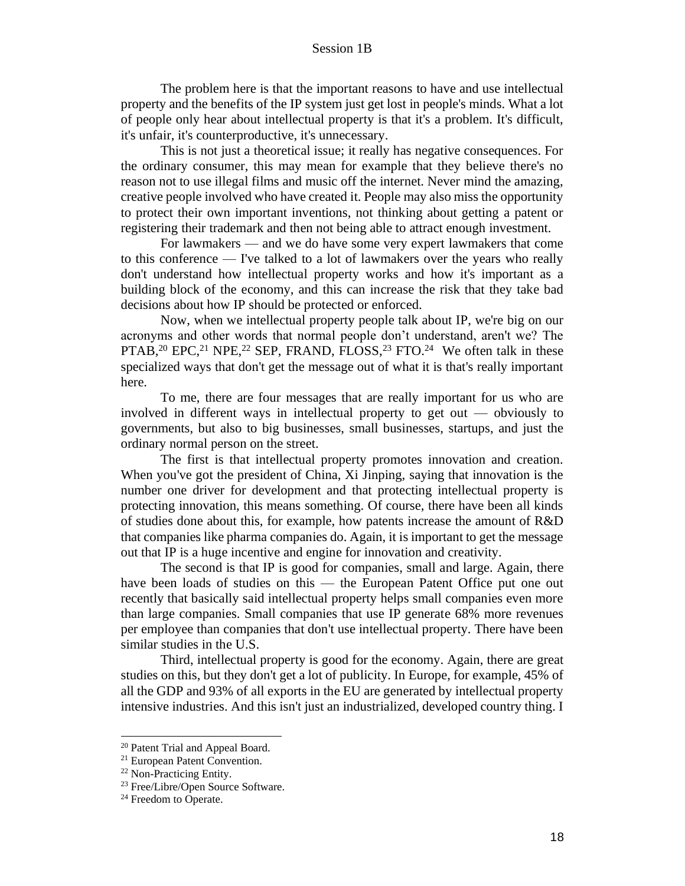The problem here is that the important reasons to have and use intellectual property and the benefits of the IP system just get lost in people's minds. What a lot of people only hear about intellectual property is that it's a problem. It's difficult, it's unfair, it's counterproductive, it's unnecessary.

This is not just a theoretical issue; it really has negative consequences. For the ordinary consumer, this may mean for example that they believe there's no reason not to use illegal films and music off the internet. Never mind the amazing, creative people involved who have created it. People may also miss the opportunity to protect their own important inventions, not thinking about getting a patent or registering their trademark and then not being able to attract enough investment.

For lawmakers — and we do have some very expert lawmakers that come to this conference — I've talked to a lot of lawmakers over the years who really don't understand how intellectual property works and how it's important as a building block of the economy, and this can increase the risk that they take bad decisions about how IP should be protected or enforced.

Now, when we intellectual property people talk about IP, we're big on our acronyms and other words that normal people don't understand, aren't we? The PTAB,<sup>20</sup> EPC,<sup>21</sup> NPE,<sup>22</sup> SEP, FRAND, FLOSS,<sup>23</sup> FTO.<sup>24</sup> We often talk in these specialized ways that don't get the message out of what it is that's really important here.

To me, there are four messages that are really important for us who are involved in different ways in intellectual property to get out — obviously to governments, but also to big businesses, small businesses, startups, and just the ordinary normal person on the street.

The first is that intellectual property promotes innovation and creation. When you've got the president of China, Xi Jinping, saying that innovation is the number one driver for development and that protecting intellectual property is protecting innovation, this means something. Of course, there have been all kinds of studies done about this, for example, how patents increase the amount of R&D that companies like pharma companies do. Again, it is important to get the message out that IP is a huge incentive and engine for innovation and creativity.

The second is that IP is good for companies, small and large. Again, there have been loads of studies on this — the European Patent Office put one out recently that basically said intellectual property helps small companies even more than large companies. Small companies that use IP generate 68% more revenues per employee than companies that don't use intellectual property. There have been similar studies in the U.S.

Third, intellectual property is good for the economy. Again, there are great studies on this, but they don't get a lot of publicity. In Europe, for example, 45% of all the GDP and 93% of all exports in the EU are generated by intellectual property intensive industries. And this isn't just an industrialized, developed country thing. I

<sup>20</sup> Patent Trial and Appeal Board.

<sup>21</sup> European Patent Convention.

<sup>22</sup> Non-Practicing Entity.

<sup>23</sup> Free/Libre/Open Source Software.

<sup>&</sup>lt;sup>24</sup> Freedom to Operate.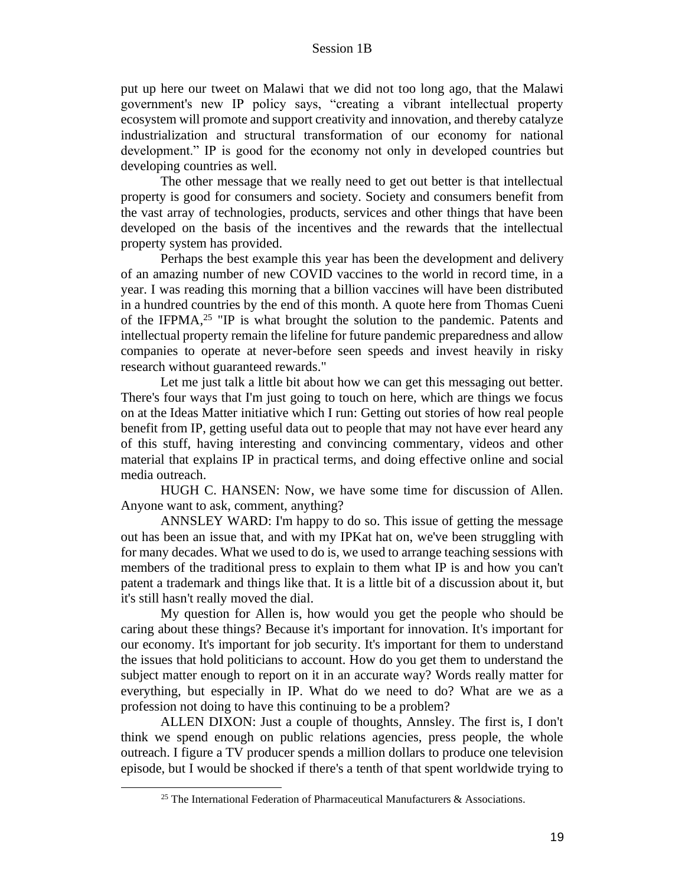put up here our tweet on Malawi that we did not too long ago, that the Malawi government's new IP policy says, "creating a vibrant intellectual property ecosystem will promote and support creativity and innovation, and thereby catalyze industrialization and structural transformation of our economy for national development." IP is good for the economy not only in developed countries but developing countries as well.

The other message that we really need to get out better is that intellectual property is good for consumers and society. Society and consumers benefit from the vast array of technologies, products, services and other things that have been developed on the basis of the incentives and the rewards that the intellectual property system has provided.

Perhaps the best example this year has been the development and delivery of an amazing number of new COVID vaccines to the world in record time, in a year. I was reading this morning that a billion vaccines will have been distributed in a hundred countries by the end of this month. A quote here from Thomas Cueni of the IFPMA,<sup>25</sup> "IP is what brought the solution to the pandemic. Patents and intellectual property remain the lifeline for future pandemic preparedness and allow companies to operate at never-before seen speeds and invest heavily in risky research without guaranteed rewards."

Let me just talk a little bit about how we can get this messaging out better. There's four ways that I'm just going to touch on here, which are things we focus on at the Ideas Matter initiative which I run: Getting out stories of how real people benefit from IP, getting useful data out to people that may not have ever heard any of this stuff, having interesting and convincing commentary, videos and other material that explains IP in practical terms, and doing effective online and social media outreach.

HUGH C. HANSEN: Now, we have some time for discussion of Allen. Anyone want to ask, comment, anything?

ANNSLEY WARD: I'm happy to do so. This issue of getting the message out has been an issue that, and with my IPKat hat on, we've been struggling with for many decades. What we used to do is, we used to arrange teaching sessions with members of the traditional press to explain to them what IP is and how you can't patent a trademark and things like that. It is a little bit of a discussion about it, but it's still hasn't really moved the dial.

My question for Allen is, how would you get the people who should be caring about these things? Because it's important for innovation. It's important for our economy. It's important for job security. It's important for them to understand the issues that hold politicians to account. How do you get them to understand the subject matter enough to report on it in an accurate way? Words really matter for everything, but especially in IP. What do we need to do? What are we as a profession not doing to have this continuing to be a problem?

ALLEN DIXON: Just a couple of thoughts, Annsley. The first is, I don't think we spend enough on public relations agencies, press people, the whole outreach. I figure a TV producer spends a million dollars to produce one television episode, but I would be shocked if there's a tenth of that spent worldwide trying to

<sup>&</sup>lt;sup>25</sup> The International Federation of Pharmaceutical Manufacturers  $\&$  Associations.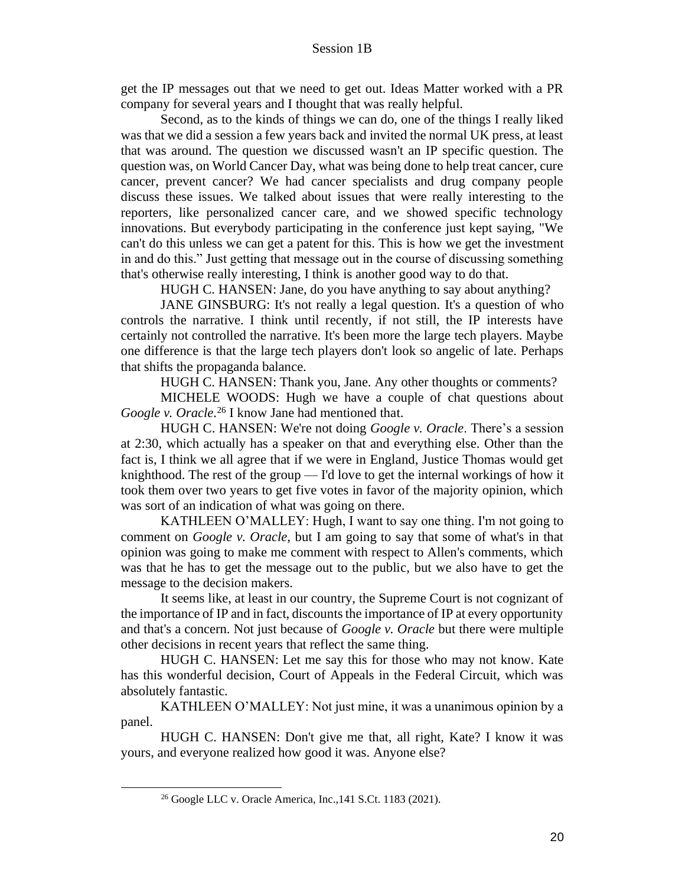get the IP messages out that we need to get out. Ideas Matter worked with a PR company for several years and I thought that was really helpful.

Second, as to the kinds of things we can do, one of the things I really liked was that we did a session a few years back and invited the normal UK press, at least that was around. The question we discussed wasn't an IP specific question. The question was, on World Cancer Day, what was being done to help treat cancer, cure cancer, prevent cancer? We had cancer specialists and drug company people discuss these issues. We talked about issues that were really interesting to the reporters, like personalized cancer care, and we showed specific technology innovations. But everybody participating in the conference just kept saying, "We can't do this unless we can get a patent for this. This is how we get the investment in and do this." Just getting that message out in the course of discussing something that's otherwise really interesting, I think is another good way to do that.

HUGH C. HANSEN: Jane, do you have anything to say about anything?

JANE GINSBURG: It's not really a legal question. It's a question of who controls the narrative. I think until recently, if not still, the IP interests have certainly not controlled the narrative. It's been more the large tech players. Maybe one difference is that the large tech players don't look so angelic of late. Perhaps that shifts the propaganda balance.

HUGH C. HANSEN: Thank you, Jane. Any other thoughts or comments?

MICHELE WOODS: Hugh we have a couple of chat questions about Google v. Oracle.<sup>26</sup> I know Jane had mentioned that.

HUGH C. HANSEN: We're not doing *Google v. Oracle*. There's a session at 2:30, which actually has a speaker on that and everything else. Other than the fact is, I think we all agree that if we were in England, Justice Thomas would get knighthood. The rest of the group — I'd love to get the internal workings of how it took them over two years to get five votes in favor of the majority opinion, which was sort of an indication of what was going on there.

KATHLEEN O'MALLEY: Hugh, I want to say one thing. I'm not going to comment on *Google v. Oracle,* but I am going to say that some of what's in that opinion was going to make me comment with respect to Allen's comments, which was that he has to get the message out to the public, but we also have to get the message to the decision makers.

It seems like, at least in our country, the Supreme Court is not cognizant of the importance of IP and in fact, discounts the importance of IP at every opportunity and that's a concern. Not just because of *Google v. Oracle* but there were multiple other decisions in recent years that reflect the same thing.

HUGH C. HANSEN: Let me say this for those who may not know. Kate has this wonderful decision, Court of Appeals in the Federal Circuit, which was absolutely fantastic.

KATHLEEN O'MALLEY: Not just mine, it was a unanimous opinion by a panel.

HUGH C. HANSEN: Don't give me that, all right, Kate? I know it was yours, and everyone realized how good it was. Anyone else?

<sup>26</sup> Google LLC v. Oracle America, Inc.,141 S.Ct. 1183 (2021).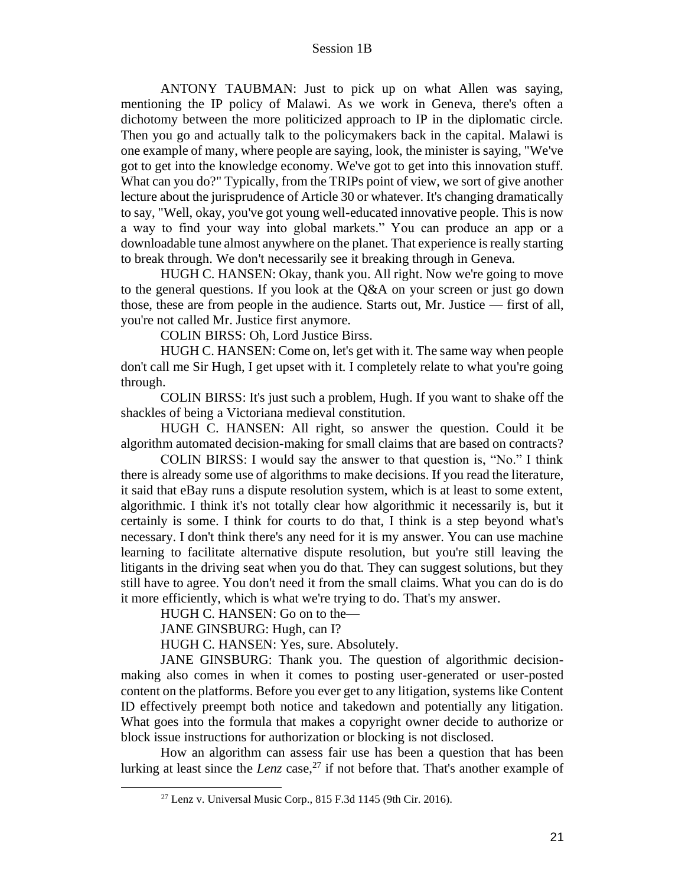ANTONY TAUBMAN: Just to pick up on what Allen was saying, mentioning the IP policy of Malawi. As we work in Geneva, there's often a dichotomy between the more politicized approach to IP in the diplomatic circle. Then you go and actually talk to the policymakers back in the capital. Malawi is one example of many, where people are saying, look, the minister is saying, "We've got to get into the knowledge economy. We've got to get into this innovation stuff. What can you do?" Typically, from the TRIPs point of view, we sort of give another lecture about the jurisprudence of Article 30 or whatever. It's changing dramatically to say, "Well, okay, you've got young well-educated innovative people. This is now a way to find your way into global markets." You can produce an app or a downloadable tune almost anywhere on the planet. That experience is really starting to break through. We don't necessarily see it breaking through in Geneva.

HUGH C. HANSEN: Okay, thank you. All right. Now we're going to move to the general questions. If you look at the Q&A on your screen or just go down those, these are from people in the audience. Starts out, Mr. Justice — first of all, you're not called Mr. Justice first anymore.

COLIN BIRSS: Oh, Lord Justice Birss.

HUGH C. HANSEN: Come on, let's get with it. The same way when people don't call me Sir Hugh, I get upset with it. I completely relate to what you're going through.

COLIN BIRSS: It's just such a problem, Hugh. If you want to shake off the shackles of being a Victoriana medieval constitution.

HUGH C. HANSEN: All right, so answer the question. Could it be algorithm automated decision-making for small claims that are based on contracts?

COLIN BIRSS: I would say the answer to that question is, "No." I think there is already some use of algorithms to make decisions. If you read the literature, it said that eBay runs a dispute resolution system, which is at least to some extent, algorithmic. I think it's not totally clear how algorithmic it necessarily is, but it certainly is some. I think for courts to do that, I think is a step beyond what's necessary. I don't think there's any need for it is my answer. You can use machine learning to facilitate alternative dispute resolution, but you're still leaving the litigants in the driving seat when you do that. They can suggest solutions, but they still have to agree. You don't need it from the small claims. What you can do is do it more efficiently, which is what we're trying to do. That's my answer.

HUGH C. HANSEN: Go on to the—

JANE GINSBURG: Hugh, can I?

HUGH C. HANSEN: Yes, sure. Absolutely.

JANE GINSBURG: Thank you. The question of algorithmic decisionmaking also comes in when it comes to posting user-generated or user-posted content on the platforms. Before you ever get to any litigation, systems like Content ID effectively preempt both notice and takedown and potentially any litigation. What goes into the formula that makes a copyright owner decide to authorize or block issue instructions for authorization or blocking is not disclosed.

How an algorithm can assess fair use has been a question that has been lurking at least since the *Lenz* case,<sup>27</sup> if not before that. That's another example of

 $27$  Lenz v. Universal Music Corp., 815 F.3d 1145 (9th Cir. 2016).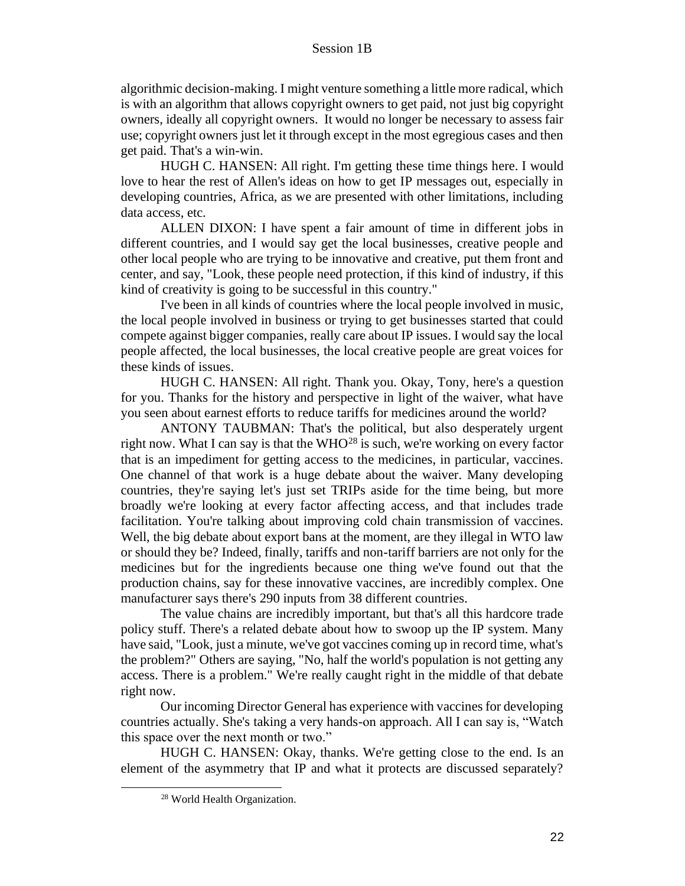algorithmic decision-making. I might venture something a little more radical, which is with an algorithm that allows copyright owners to get paid, not just big copyright owners, ideally all copyright owners. It would no longer be necessary to assess fair use; copyright owners just let it through except in the most egregious cases and then get paid. That's a win-win.

HUGH C. HANSEN: All right. I'm getting these time things here. I would love to hear the rest of Allen's ideas on how to get IP messages out, especially in developing countries, Africa, as we are presented with other limitations, including data access, etc.

ALLEN DIXON: I have spent a fair amount of time in different jobs in different countries, and I would say get the local businesses, creative people and other local people who are trying to be innovative and creative, put them front and center, and say, "Look, these people need protection, if this kind of industry, if this kind of creativity is going to be successful in this country."

I've been in all kinds of countries where the local people involved in music, the local people involved in business or trying to get businesses started that could compete against bigger companies, really care about IP issues. I would say the local people affected, the local businesses, the local creative people are great voices for these kinds of issues.

HUGH C. HANSEN: All right. Thank you. Okay, Tony, here's a question for you. Thanks for the history and perspective in light of the waiver, what have you seen about earnest efforts to reduce tariffs for medicines around the world?

ANTONY TAUBMAN: That's the political, but also desperately urgent right now. What I can say is that the  $WHO^{28}$  is such, we're working on every factor that is an impediment for getting access to the medicines, in particular, vaccines. One channel of that work is a huge debate about the waiver. Many developing countries, they're saying let's just set TRIPs aside for the time being, but more broadly we're looking at every factor affecting access, and that includes trade facilitation. You're talking about improving cold chain transmission of vaccines. Well, the big debate about export bans at the moment, are they illegal in WTO law or should they be? Indeed, finally, tariffs and non-tariff barriers are not only for the medicines but for the ingredients because one thing we've found out that the production chains, say for these innovative vaccines, are incredibly complex. One manufacturer says there's 290 inputs from 38 different countries.

The value chains are incredibly important, but that's all this hardcore trade policy stuff. There's a related debate about how to swoop up the IP system. Many have said, "Look, just a minute, we've got vaccines coming up in record time, what's the problem?" Others are saying, "No, half the world's population is not getting any access. There is a problem." We're really caught right in the middle of that debate right now.

Our incoming Director General has experience with vaccines for developing countries actually. She's taking a very hands-on approach. All I can say is, "Watch this space over the next month or two."

HUGH C. HANSEN: Okay, thanks. We're getting close to the end. Is an element of the asymmetry that IP and what it protects are discussed separately?

<sup>28</sup> World Health Organization.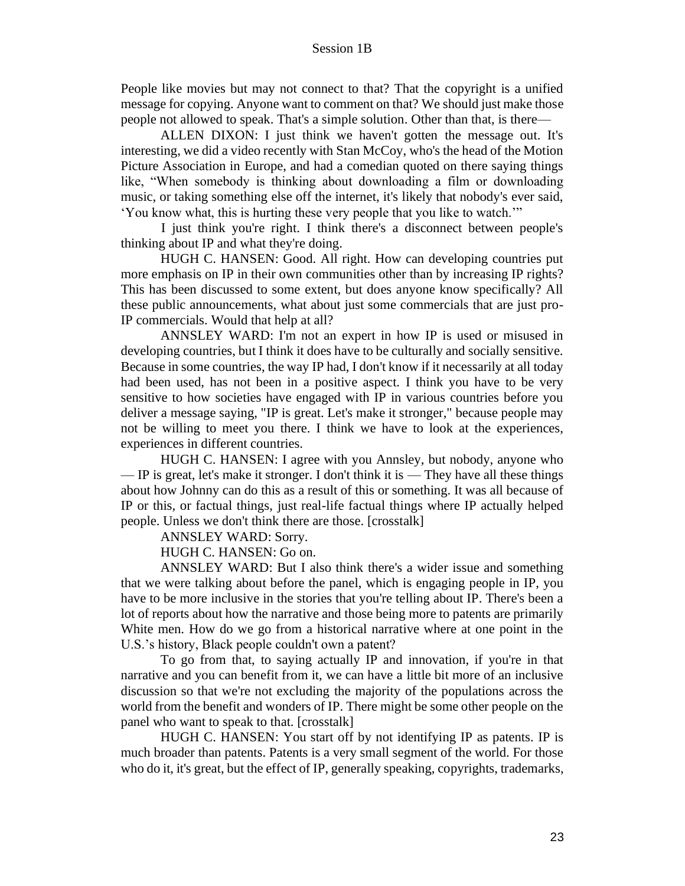People like movies but may not connect to that? That the copyright is a unified message for copying. Anyone want to comment on that? We should just make those people not allowed to speak. That's a simple solution. Other than that, is there—

ALLEN DIXON: I just think we haven't gotten the message out. It's interesting, we did a video recently with Stan McCoy, who's the head of the Motion Picture Association in Europe, and had a comedian quoted on there saying things like, "When somebody is thinking about downloading a film or downloading music, or taking something else off the internet, it's likely that nobody's ever said, 'You know what, this is hurting these very people that you like to watch.'"

I just think you're right. I think there's a disconnect between people's thinking about IP and what they're doing.

HUGH C. HANSEN: Good. All right. How can developing countries put more emphasis on IP in their own communities other than by increasing IP rights? This has been discussed to some extent, but does anyone know specifically? All these public announcements, what about just some commercials that are just pro-IP commercials. Would that help at all?

ANNSLEY WARD: I'm not an expert in how IP is used or misused in developing countries, but I think it does have to be culturally and socially sensitive. Because in some countries, the way IP had, I don't know if it necessarily at all today had been used, has not been in a positive aspect. I think you have to be very sensitive to how societies have engaged with IP in various countries before you deliver a message saying, "IP is great. Let's make it stronger," because people may not be willing to meet you there. I think we have to look at the experiences, experiences in different countries.

HUGH C. HANSEN: I agree with you Annsley, but nobody, anyone who — IP is great, let's make it stronger. I don't think it is — They have all these things about how Johnny can do this as a result of this or something. It was all because of IP or this, or factual things, just real-life factual things where IP actually helped people. Unless we don't think there are those. [crosstalk]

ANNSLEY WARD: Sorry.

HUGH C. HANSEN: Go on.

ANNSLEY WARD: But I also think there's a wider issue and something that we were talking about before the panel, which is engaging people in IP, you have to be more inclusive in the stories that you're telling about IP. There's been a lot of reports about how the narrative and those being more to patents are primarily White men. How do we go from a historical narrative where at one point in the U.S.'s history, Black people couldn't own a patent?

To go from that, to saying actually IP and innovation, if you're in that narrative and you can benefit from it, we can have a little bit more of an inclusive discussion so that we're not excluding the majority of the populations across the world from the benefit and wonders of IP. There might be some other people on the panel who want to speak to that. [crosstalk]

HUGH C. HANSEN: You start off by not identifying IP as patents. IP is much broader than patents. Patents is a very small segment of the world. For those who do it, it's great, but the effect of IP, generally speaking, copyrights, trademarks,